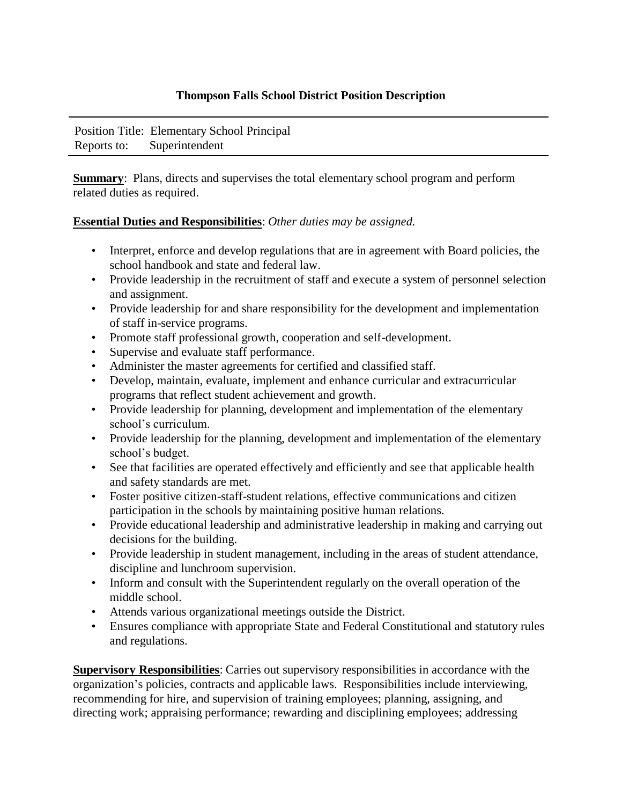## **Thompson Falls School District Position Description**

Position Title: Elementary School Principal Reports to: Superintendent

**Summary:** Plans, directs and supervises the total elementary school program and perform related duties as required.

## **Essential Duties and Responsibilities**: *Other duties may be assigned.*

- Interpret, enforce and develop regulations that are in agreement with Board policies, the school handbook and state and federal law.
- Provide leadership in the recruitment of staff and execute a system of personnel selection and assignment.
- Provide leadership for and share responsibility for the development and implementation of staff in-service programs.
- Promote staff professional growth, cooperation and self-development.
- Supervise and evaluate staff performance.
- Administer the master agreements for certified and classified staff.
- Develop, maintain, evaluate, implement and enhance curricular and extracurricular programs that reflect student achievement and growth.
- Provide leadership for planning, development and implementation of the elementary school's curriculum.
- Provide leadership for the planning, development and implementation of the elementary school's budget.
- See that facilities are operated effectively and efficiently and see that applicable health and safety standards are met.
- Foster positive citizen-staff-student relations, effective communications and citizen participation in the schools by maintaining positive human relations.
- Provide educational leadership and administrative leadership in making and carrying out decisions for the building.
- Provide leadership in student management, including in the areas of student attendance, discipline and lunchroom supervision.
- Inform and consult with the Superintendent regularly on the overall operation of the middle school.
- Attends various organizational meetings outside the District.
- Ensures compliance with appropriate State and Federal Constitutional and statutory rules and regulations.

**Supervisory Responsibilities**: Carries out supervisory responsibilities in accordance with the organization's policies, contracts and applicable laws. Responsibilities include interviewing, recommending for hire, and supervision of training employees; planning, assigning, and directing work; appraising performance; rewarding and disciplining employees; addressing